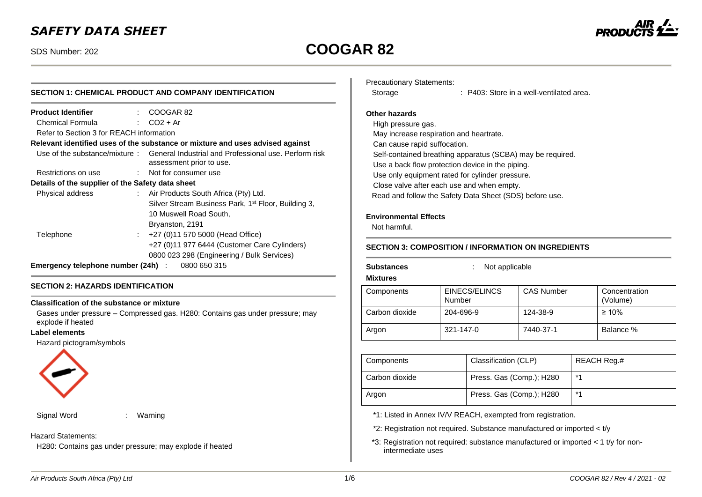# *SAFETY DATA SHEET*

# SDS Number: 202 **COOGAR 82**



# **SECTION 1: CHEMICAL PRODUCT AND COMPANY IDENTIFICATION**

| <b>Product Identifier</b>                        |    | COOGAR 82                                                                                                       |
|--------------------------------------------------|----|-----------------------------------------------------------------------------------------------------------------|
| Chemical Formula                                 | ÷. | $CO2 + Ar$                                                                                                      |
| Refer to Section 3 for REACH information         |    |                                                                                                                 |
|                                                  |    | Relevant identified uses of the substance or mixture and uses advised against                                   |
|                                                  |    | Use of the substance/mixture: General Industrial and Professional use. Perform risk<br>assessment prior to use. |
| Restrictions on use                              |    | : Not for consumer use                                                                                          |
| Details of the supplier of the Safety data sheet |    |                                                                                                                 |
| Physical address                                 |    | : Air Products South Africa (Pty) Ltd.                                                                          |
|                                                  |    | Silver Stream Business Park, 1 <sup>st</sup> Floor, Building 3,                                                 |
|                                                  |    | 10 Muswell Road South.                                                                                          |
|                                                  |    | Bryanston, 2191                                                                                                 |
| Telephone                                        |    | +27 (0)11 570 5000 (Head Office)                                                                                |
|                                                  |    | +27 (0)11 977 6444 (Customer Care Cylinders)                                                                    |
|                                                  |    | 0800 023 298 (Engineering / Bulk Services)                                                                      |

**Emergency telephone number (24h)** : 0800 650 315

#### **SECTION 2: HAZARDS IDENTIFICATION**

#### **Classification of the substance or mixture**

Gases under pressure – Compressed gas. H280: Contains gas under pressure; may explode if heated

#### **Label elements**

Hazard pictogram/symbols



Signal Word : Warning

#### Hazard Statements:

H280: Contains gas under pressure; may explode if heated

## Precautionary Statements:

| <i><b>Storage</b></i> |
|-----------------------|
|-----------------------|

 $\therefore$  P403: Store in a well-ventilated area.

#### **Other hazards**

High pressure gas. May increase respiration and heartrate. Can cause rapid suffocation. Self-contained breathing apparatus (SCBA) may be required. Use a back flow protection device in the piping. Use only equipment rated for cylinder pressure. Close valve after each use and when empty. Read and follow the Safety Data Sheet (SDS) before use.

#### **Environmental Effects**

Not harmful.

## **SECTION 3: COMPOSITION / INFORMATION ON INGREDIENTS**

**Substances** : Not applicable

**Mixtures**

| Components     | EINECS/ELINCS<br>Number | <b>CAS Number</b> | Concentration<br>(Volume) |
|----------------|-------------------------|-------------------|---------------------------|
| Carbon dioxide | 204-696-9               | 124-38-9          | $\geq 10\%$               |
| Argon          | 321-147-0               | 7440-37-1         | Balance %                 |

| Components     | Classification (CLP)     | REACH Reg.# |
|----------------|--------------------------|-------------|
| Carbon dioxide | Press. Gas (Comp.); H280 | $*$ 1       |
| Argon          | Press. Gas (Comp.); H280 | $*$ 4       |

\*1: Listed in Annex IV/V REACH, exempted from registration.

\*2: Registration not required. Substance manufactured or imported < t/y

\*3: Registration not required: substance manufactured or imported < 1 t/y for nonintermediate uses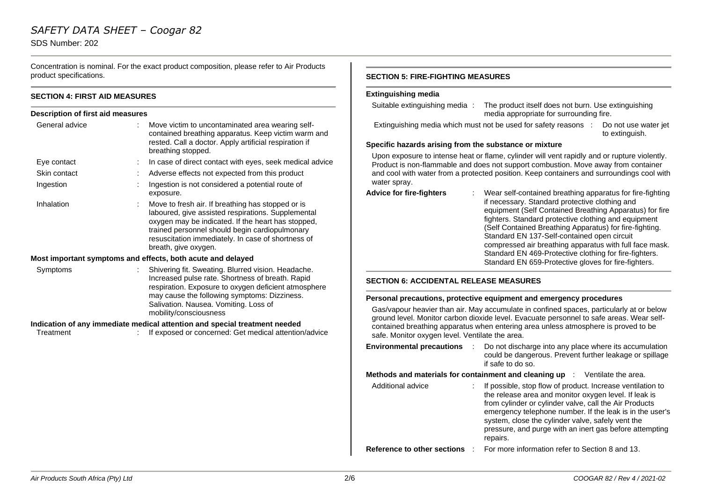# SDS Number: 202

Concentration is nominal. For the exact product composition, please refer to Air Products product specifications.

## **SECTION 4: FIRST AID MEASURES**

#### **Description of first aid measures**

| General advice | : Move victim to uncontaminated area wearing self-<br>contained breathing apparatus. Keep victim warm and<br>rested. Call a doctor. Apply artificial respiration if<br>breathing stopped.                                                                                                       |
|----------------|-------------------------------------------------------------------------------------------------------------------------------------------------------------------------------------------------------------------------------------------------------------------------------------------------|
| Eye contact    | : In case of direct contact with eyes, seek medical advice                                                                                                                                                                                                                                      |
| Skin contact   | Adverse effects not expected from this product                                                                                                                                                                                                                                                  |
| Ingestion      | Ingestion is not considered a potential route of<br>exposure.                                                                                                                                                                                                                                   |
| Inhalation     | : Move to fresh air. If breathing has stopped or is<br>laboured, give assisted respirations. Supplemental<br>oxygen may be indicated. If the heart has stopped,<br>trained personnel should begin cardiopulmonary<br>resuscitation immediately. In case of shortness of<br>breath, give oxygen. |
|                | Most important symptoms and effects, both acute and delayed                                                                                                                                                                                                                                     |
| Symptome       | Shivering fit, Sweeting, Blurred vision, Headache                                                                                                                                                                                                                                               |

Symptoms : Shivering fit. Sweating. Blurred vision. Headache. Increased pulse rate. Shortness of breath. Rapid respiration. Exposure to oxygen deficient atmosphere may cause the following symptoms: Dizziness. Salivation. Nausea. Vomiting. Loss of mobility/consciousness

#### **Indication of any immediate medical attention and special treatment needed**

Treatment : If exposed or concerned: Get medical attention/advice

#### **SECTION 5: FIRE-FIGHTING MEASURES**

#### **Extinguishing media**

| The product itself does not burn. Use extinguishing<br>Suitable extinguishing media:<br>media appropriate for surrounding fire. |                                        |  |  |
|---------------------------------------------------------------------------------------------------------------------------------|----------------------------------------|--|--|
| Extinguishing media which must not be used for safety reasons :                                                                 | Do not use water jet<br>to extinguish. |  |  |

#### **Specific hazards arising from the substance or mixture**

Upon exposure to intense heat or flame, cylinder will vent rapidly and or rupture violently. Product is non-flammable and does not support combustion. Move away from container and cool with water from a protected position. Keep containers and surroundings cool with water spray.

| <b>Advice for fire-fighters</b> | Wear self-contained breathing apparatus for fire-fighting<br>if necessary. Standard protective clothing and<br>equipment (Self Contained Breathing Apparatus) for fire<br>fighters. Standard protective clothing and equipment<br>(Self Contained Breathing Apparatus) for fire-fighting.<br>Standard EN 137-Self-contained open circuit<br>compressed air breathing apparatus with full face mask.<br>Standard EN 469-Protective clothing for fire-fighters.<br>Standard EN 659-Protective gloves for fire-fighters. |
|---------------------------------|-----------------------------------------------------------------------------------------------------------------------------------------------------------------------------------------------------------------------------------------------------------------------------------------------------------------------------------------------------------------------------------------------------------------------------------------------------------------------------------------------------------------------|
|---------------------------------|-----------------------------------------------------------------------------------------------------------------------------------------------------------------------------------------------------------------------------------------------------------------------------------------------------------------------------------------------------------------------------------------------------------------------------------------------------------------------------------------------------------------------|

#### **SECTION 6: ACCIDENTAL RELEASE MEASURES**

#### **Personal precautions, protective equipment and emergency procedures**

Gas/vapour heavier than air. May accumulate in confined spaces, particularly at or below ground level. Monitor carbon dioxide level. Evacuate personnel to safe areas. Wear selfcontained breathing apparatus when entering area unless atmosphere is proved to be safe. Monitor oxygen level. Ventilate the area.

| <b>Environmental precautions</b> | Do not discharge into any place where its accumulation                       |
|----------------------------------|------------------------------------------------------------------------------|
|                                  | could be dangerous. Prevent further leakage or spillage<br>if safe to do so. |
|                                  |                                                                              |

#### **Methods and materials for containment and cleaning up** : Ventilate the area.

Additional advice : If possible, stop flow of product. Increase ventilation to the release area and monitor oxygen level. If leak is from cylinder or cylinder valve, call the Air Products emergency telephone number. If the leak is in the user's system, close the cylinder valve, safely vent the pressure, and purge with an inert gas before attempting repairs.

**Reference to other sections** : For more information refer to Section 8 and 13.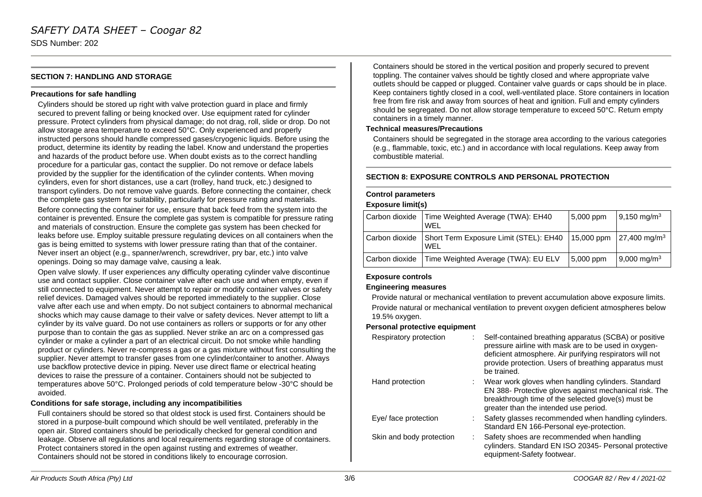SDS Number: 202

## **SECTION 7: HANDLING AND STORAGE**

#### **Precautions for safe handling**

Cylinders should be stored up right with valve protection guard in place and firmly secured to prevent falling or being knocked over. Use equipment rated for cylinder pressure. Protect cylinders from physical damage; do not drag, roll, slide or drop. Do not allow storage area temperature to exceed 50°C. Only experienced and properly instructed persons should handle compressed gases/cryogenic liquids. Before using the product, determine its identity by reading the label. Know and understand the properties and hazards of the product before use. When doubt exists as to the correct handling procedure for a particular gas, contact the supplier. Do not remove or deface labels provided by the supplier for the identification of the cylinder contents. When moving cylinders, even for short distances, use a cart (trolley, hand truck, etc.) designed to transport cylinders. Do not remove valve guards. Before connecting the container, check the complete gas system for suitability, particularly for pressure rating and materials.

Before connecting the container for use, ensure that back feed from the system into the container is prevented. Ensure the complete gas system is compatible for pressure rating and materials of construction. Ensure the complete gas system has been checked for leaks before use. Employ suitable pressure regulating devices on all containers when the gas is being emitted to systems with lower pressure rating than that of the container. Never insert an object (e.g., spanner/wrench, screwdriver, pry bar, etc.) into valve openings. Doing so may damage valve, causing a leak.

Open valve slowly. If user experiences any difficulty operating cylinder valve discontinue use and contact supplier. Close container valve after each use and when empty, even if still connected to equipment. Never attempt to repair or modify container valves or safety relief devices. Damaged valves should be reported immediately to the supplier. Close valve after each use and when empty. Do not subject containers to abnormal mechanical shocks which may cause damage to their valve or safety devices. Never attempt to lift a cylinder by its valve guard. Do not use containers as rollers or supports or for any other purpose than to contain the gas as supplied. Never strike an arc on a compressed gas cylinder or make a cylinder a part of an electrical circuit. Do not smoke while handling product or cylinders. Never re-compress a gas or a gas mixture without first consulting the supplier. Never attempt to transfer gases from one cylinder/container to another. Always use backflow protective device in piping. Never use direct flame or electrical heating devices to raise the pressure of a container. Containers should not be subjected to temperatures above 50°C. Prolonged periods of cold temperature below -30°C should be avoided.

#### **Conditions for safe storage, including any incompatibilities**

Full containers should be stored so that oldest stock is used first. Containers should be stored in a purpose-built compound which should be well ventilated, preferably in the open air. Stored containers should be periodically checked for general condition and leakage. Observe all regulations and local requirements regarding storage of containers. Protect containers stored in the open against rusting and extremes of weather. Containers should not be stored in conditions likely to encourage corrosion.

Containers should be stored in the vertical position and properly secured to prevent toppling. The container valves should be tightly closed and where appropriate valve outlets should be capped or plugged. Container valve guards or caps should be in place. Keep containers tightly closed in a cool, well-ventilated place. Store containers in location free from fire risk and away from sources of heat and ignition. Full and empty cylinders should be segregated. Do not allow storage temperature to exceed 50°C. Return empty containers in a timely manner.

#### **Technical measures/Precautions**

Containers should be segregated in the storage area according to the various categories (e.g., flammable, toxic, etc.) and in accordance with local regulations. Keep away from combustible material.

#### **SECTION 8: EXPOSURE CONTROLS AND PERSONAL PROTECTION**

# **Control parameters**

# **Exposure limit(s)**

| Carbon dioxide | Time Weighted Average (TWA): EH40<br>WFI             | 5,000 ppm   | $9,150 \text{ mg/m}^3$              |
|----------------|------------------------------------------------------|-------------|-------------------------------------|
| Carbon dioxide | Short Term Exposure Limit (STEL): EH40<br><b>WFI</b> |             | 15,000 ppm 27,400 mg/m <sup>3</sup> |
| Carbon dioxide | Time Weighted Average (TWA): EU ELV                  | $5,000$ ppm | $9,000 \text{ mg/m}^3$              |

#### **Exposure controls**

#### **Engineering measures**

Provide natural or mechanical ventilation to prevent accumulation above exposure limits. Provide natural or mechanical ventilation to prevent oxygen deficient atmospheres below 19.5% oxygen.

#### **Personal protective equipment**

| Respiratory protection   | Self-contained breathing apparatus (SCBA) or positive<br>pressure airline with mask are to be used in oxygen-<br>deficient atmosphere. Air purifying respirators will not<br>provide protection. Users of breathing apparatus must<br>be trained. |
|--------------------------|---------------------------------------------------------------------------------------------------------------------------------------------------------------------------------------------------------------------------------------------------|
| Hand protection          | : Wear work gloves when handling cylinders. Standard<br>EN 388- Protective gloves against mechanical risk. The<br>breakthrough time of the selected glove(s) must be<br>greater than the intended use period.                                     |
| Eye/ face protection     | Safety glasses recommended when handling cylinders.<br>Standard EN 166-Personal eye-protection.                                                                                                                                                   |
| Skin and body protection | Safety shoes are recommended when handling<br>cylinders. Standard EN ISO 20345- Personal protective<br>equipment-Safety footwear.                                                                                                                 |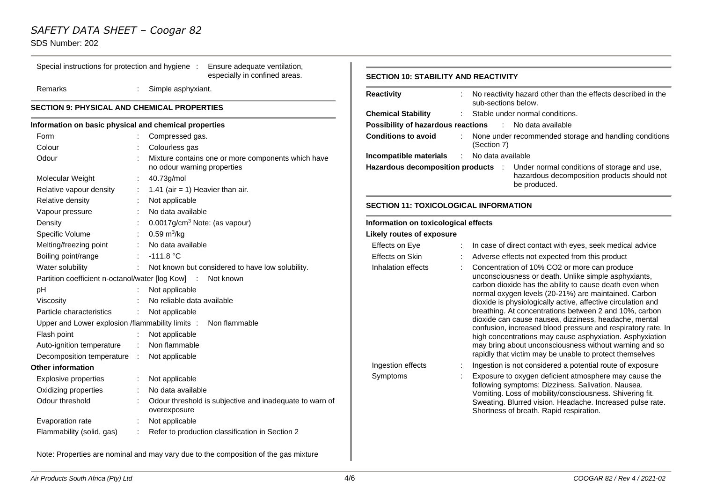# SDS Number: 202

| Special instructions for protection and hygiene                                       | Ensure adequate ventilation,                                                      |                                                              |                |                                                                                                                       |  |  |
|---------------------------------------------------------------------------------------|-----------------------------------------------------------------------------------|--------------------------------------------------------------|----------------|-----------------------------------------------------------------------------------------------------------------------|--|--|
| especially in confined areas.                                                         |                                                                                   | <b>SECTION 10: STABILITY AND REACTIVITY</b>                  |                |                                                                                                                       |  |  |
| Simple asphyxiant.<br>Remarks<br><b>SECTION 9: PHYSICAL AND CHEMICAL PROPERTIES</b>   |                                                                                   | <b>Reactivity</b>                                            |                | No reactivity hazard other than the effects described in the<br>sub-sections below.                                   |  |  |
|                                                                                       |                                                                                   | <b>Chemical Stability</b>                                    |                | Stable under normal conditions.                                                                                       |  |  |
| Information on basic physical and chemical properties                                 |                                                                                   | Possibility of hazardous reactions                           | $\sim 10^{-1}$ | No data available                                                                                                     |  |  |
| Form                                                                                  | Compressed gas.                                                                   | <b>Conditions to avoid</b>                                   |                | None under recommended storage and handling conditions                                                                |  |  |
| Colour                                                                                | Colourless gas                                                                    |                                                              | (Section 7)    |                                                                                                                       |  |  |
| Odour                                                                                 | Mixture contains one or more components which have<br>no odour warning properties | Incompatible materials<br>Hazardous decomposition products : | $\mathcal{L}$  | No data available<br>Under normal conditions of storage and use,                                                      |  |  |
| Molecular Weight                                                                      | 40.73g/mol                                                                        |                                                              |                | hazardous decomposition products should not                                                                           |  |  |
| Relative vapour density                                                               | 1.41 (air = 1) Heavier than air.                                                  |                                                              |                | be produced.                                                                                                          |  |  |
| Relative density                                                                      | Not applicable                                                                    | <b>SECTION 11: TOXICOLOGICAL INFORMATION</b>                 |                |                                                                                                                       |  |  |
| Vapour pressure                                                                       | No data available                                                                 |                                                              |                |                                                                                                                       |  |  |
| Density                                                                               | 0.0017g/cm <sup>3</sup> Note: (as vapour)                                         | Information on toxicological effects                         |                |                                                                                                                       |  |  |
| Specific Volume                                                                       | $0.59 \text{ m}^3/\text{kg}$                                                      | Likely routes of exposure                                    |                |                                                                                                                       |  |  |
| Melting/freezing point                                                                | No data available                                                                 | Effects on Eye                                               |                | In case of direct contact with eyes, seek medical advice                                                              |  |  |
| Boiling point/range                                                                   | $-111.8 °C$                                                                       | Effects on Skin                                              |                | Adverse effects not expected from this product                                                                        |  |  |
| Water solubility                                                                      | Not known but considered to have low solubility.                                  | Inhalation effects                                           |                | Concentration of 10% CO2 or more can produce                                                                          |  |  |
|                                                                                       | Partition coefficient n-octanol/water [log Kow] : Not known                       |                                                              |                | unconsciousness or death. Unlike simple asphyxiants,                                                                  |  |  |
| pH                                                                                    | Not applicable                                                                    |                                                              |                | carbon dioxide has the ability to cause death even when<br>normal oxygen levels (20-21%) are maintained. Carbon       |  |  |
| No reliable data available<br>Viscosity<br>Particle characteristics<br>Not applicable |                                                                                   |                                                              |                | dioxide is physiologically active, affective circulation and                                                          |  |  |
|                                                                                       |                                                                                   |                                                              |                | breathing. At concentrations between 2 and 10%, carbon                                                                |  |  |
| Upper and Lower explosion /flammability limits :                                      | Non flammable                                                                     |                                                              |                | dioxide can cause nausea, dizziness, headache, mental<br>confusion, increased blood pressure and respiratory rate. In |  |  |
| Flash point                                                                           | Not applicable<br>$\mathbb{R}^n$                                                  |                                                              |                | high concentrations may cause asphyxiation. Asphyxiation                                                              |  |  |
| Auto-ignition temperature                                                             | Non flammable                                                                     |                                                              |                | may bring about unconsciousness without warning and so                                                                |  |  |
| Decomposition temperature                                                             | Not applicable                                                                    |                                                              |                | rapidly that victim may be unable to protect themselves                                                               |  |  |
| Other information                                                                     |                                                                                   | Ingestion effects                                            |                | Ingestion is not considered a potential route of exposure                                                             |  |  |
| Explosive properties                                                                  | Not applicable                                                                    | Symptoms                                                     |                | Exposure to oxygen deficient atmosphere may cause the                                                                 |  |  |
| Oxidizing properties                                                                  | No data available                                                                 |                                                              |                | following symptoms: Dizziness. Salivation. Nausea.<br>Vomiting. Loss of mobility/consciousness. Shivering fit.        |  |  |
| Odour threshold                                                                       | Odour threshold is subjective and inadequate to warn of<br>overexposure           |                                                              |                | Sweating. Blurred vision. Headache. Increased pulse rate.<br>Shortness of breath. Rapid respiration.                  |  |  |
| Evaporation rate                                                                      | Not applicable                                                                    |                                                              |                |                                                                                                                       |  |  |
| Flammability (solid, gas)                                                             | Refer to production classification in Section 2                                   |                                                              |                |                                                                                                                       |  |  |

Note: Properties are nominal and may vary due to the composition of the gas mixture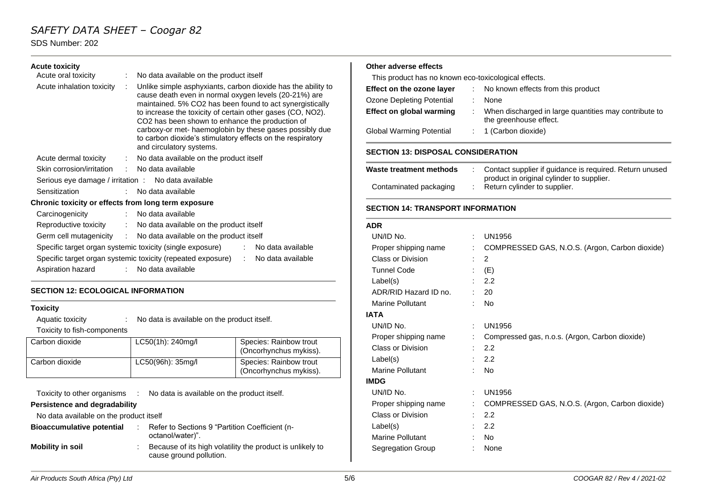# SDS Number: 202

| .                                                   |                               |                                                                                                                                                                                                                                                                                                                                                                                                                                                         |
|-----------------------------------------------------|-------------------------------|---------------------------------------------------------------------------------------------------------------------------------------------------------------------------------------------------------------------------------------------------------------------------------------------------------------------------------------------------------------------------------------------------------------------------------------------------------|
| Acute oral toxicity                                 |                               | No data available on the product itself                                                                                                                                                                                                                                                                                                                                                                                                                 |
| Acute inhalation toxicity                           |                               | Unlike simple asphyxiants, carbon dioxide has the ability to<br>cause death even in normal oxygen levels (20-21%) are<br>maintained. 5% CO2 has been found to act synergistically<br>to increase the toxicity of certain other gases (CO, NO2).<br>CO2 has been shown to enhance the production of<br>carboxy-or met- haemoglobin by these gases possibly due<br>to carbon dioxide's stimulatory effects on the respiratory<br>and circulatory systems. |
| Acute dermal toxicity                               | $\mathcal{L}_{\mathcal{A}}$   | No data available on the product itself                                                                                                                                                                                                                                                                                                                                                                                                                 |
| Skin corrosion/irritation :                         |                               | No data available                                                                                                                                                                                                                                                                                                                                                                                                                                       |
| Serious eye damage / irritation : No data available |                               |                                                                                                                                                                                                                                                                                                                                                                                                                                                         |
| Sensitization                                       |                               | : No data available                                                                                                                                                                                                                                                                                                                                                                                                                                     |
| Chronic toxicity or effects from long term exposure |                               |                                                                                                                                                                                                                                                                                                                                                                                                                                                         |
| Carcinogenicity                                     | t.                            | No data available                                                                                                                                                                                                                                                                                                                                                                                                                                       |
| Reproductive toxicity                               | $\mathcal{L}_{\mathcal{L}}$ . | No data available on the product itself                                                                                                                                                                                                                                                                                                                                                                                                                 |
| Germ cell mutagenicity :                            |                               | No data available on the product itself                                                                                                                                                                                                                                                                                                                                                                                                                 |
|                                                     |                               | Specific target organ systemic toxicity (single exposure)<br>t.<br>No data available                                                                                                                                                                                                                                                                                                                                                                    |
|                                                     |                               | Specific target organ systemic toxicity (repeated exposure)<br>No data available<br>t.                                                                                                                                                                                                                                                                                                                                                                  |
| Aspiration hazard                                   | $\mathcal{L}$                 | No data available                                                                                                                                                                                                                                                                                                                                                                                                                                       |

# **SECTION 12: ECOLOGICAL INFORMATION**

#### **Toxicity**

Aquatic toxicity : No data is available on the product itself.

Toxicity to fish-components

| Carbon dioxide | LC50(1h): 240mg/l | Species: Rainbow trout<br>(Oncorhynchus mykiss). |
|----------------|-------------------|--------------------------------------------------|
| Carbon dioxide | LC50(96h): 35mg/l | Species: Rainbow trout<br>(Oncorhynchus mykiss). |

Toxicity to other organisms : No data is available on the product itself.

**Persistence and degradability** No data available on the product itself

| <b>Bioaccumulative potential</b> | Refer to Sections 9 "Partition Coefficient (n-<br>octanol/water)".                   |
|----------------------------------|--------------------------------------------------------------------------------------|
| Mobility in soil                 | Because of its high volatility the product is unlikely to<br>cause ground pollution. |

# **Other adverse effects**

This product has no known eco-toxicological effects.

| Effect on the ozone layer       | : No known effects from this product                                            |
|---------------------------------|---------------------------------------------------------------------------------|
| Ozone Depleting Potential       | <b>None</b>                                                                     |
| Effect on global warming        | When discharged in large quantities may contribute to<br>the greenhouse effect. |
| <b>Global Warming Potential</b> | $: 1$ (Carbon dioxide)                                                          |

# **SECTION 13: DISPOSAL CONSIDERATION**

| Waste treatment methods | Contact supplier if guidance is required. Return unused                   |
|-------------------------|---------------------------------------------------------------------------|
| Contaminated packaging  | product in original cylinder to supplier.<br>Return cylinder to supplier. |

# **SECTION 14: TRANSPORT INFORMATION**

| <b>ADR</b>               |   |                                                |
|--------------------------|---|------------------------------------------------|
| UN/ID No.                | ÷ | UN1956                                         |
| Proper shipping name     |   | COMPRESSED GAS, N.O.S. (Argon, Carbon dioxide) |
| Class or Division        |   | 2                                              |
| <b>Tunnel Code</b>       |   | (E)                                            |
| Label(s)                 |   | 2.2                                            |
| ADR/RID Hazard ID no.    |   | 20                                             |
| Marine Pollutant         |   | <b>No</b>                                      |
| IATA                     |   |                                                |
| UN/ID No.                |   | <b>UN1956</b>                                  |
| Proper shipping name     |   | Compressed gas, n.o.s. (Argon, Carbon dioxide) |
| Class or Division        |   | 2.2                                            |
| Label(s)                 |   | 2.2                                            |
| Marine Pollutant         |   | <b>No</b>                                      |
| <b>IMDG</b>              |   |                                                |
| UN/ID No.                | ÷ | <b>UN1956</b>                                  |
| Proper shipping name     |   | COMPRESSED GAS, N.O.S. (Argon, Carbon dioxide) |
| <b>Class or Division</b> |   | 2.2                                            |
| Label(s)                 |   | 2.2                                            |
| Marine Pollutant         |   | No                                             |
| Segregation Group        |   | None                                           |